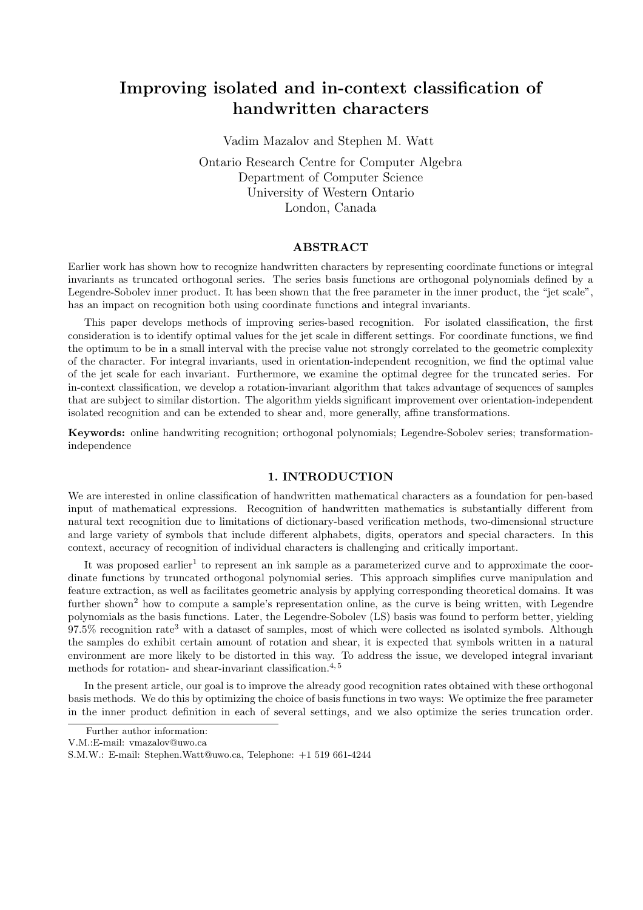# Improving isolated and in-context classification of handwritten characters

Vadim Mazalov and Stephen M. Watt Ontario Research Centre for Computer Algebra Department of Computer Science University of Western Ontario London, Canada

## ABSTRACT

Earlier work has shown how to recognize handwritten characters by representing coordinate functions or integral invariants as truncated orthogonal series. The series basis functions are orthogonal polynomials defined by a Legendre-Sobolev inner product. It has been shown that the free parameter in the inner product, the "jet scale", has an impact on recognition both using coordinate functions and integral invariants.

This paper develops methods of improving series-based recognition. For isolated classification, the first consideration is to identify optimal values for the jet scale in different settings. For coordinate functions, we find the optimum to be in a small interval with the precise value not strongly correlated to the geometric complexity of the character. For integral invariants, used in orientation-independent recognition, we find the optimal value of the jet scale for each invariant. Furthermore, we examine the optimal degree for the truncated series. For in-context classification, we develop a rotation-invariant algorithm that takes advantage of sequences of samples that are subject to similar distortion. The algorithm yields significant improvement over orientation-independent isolated recognition and can be extended to shear and, more generally, affine transformations.

Keywords: online handwriting recognition; orthogonal polynomials; Legendre-Sobolev series; transformationindependence

## 1. INTRODUCTION

We are interested in online classification of handwritten mathematical characters as a foundation for pen-based input of mathematical expressions. Recognition of handwritten mathematics is substantially different from natural text recognition due to limitations of dictionary-based verification methods, two-dimensional structure and large variety of symbols that include different alphabets, digits, operators and special characters. In this context, accuracy of recognition of individual characters is challenging and critically important.

It was proposed earlier<sup>1</sup> to represent an ink sample as a parameterized curve and to approximate the coordinate functions by truncated orthogonal polynomial series. This approach simplifies curve manipulation and feature extraction, as well as facilitates geometric analysis by applying corresponding theoretical domains. It was further shown<sup>2</sup> how to compute a sample's representation online, as the curve is being written, with Legendre polynomials as the basis functions. Later, the Legendre-Sobolev (LS) basis was found to perform better, yielding 97.5% recognition rate<sup>3</sup> with a dataset of samples, most of which were collected as isolated symbols. Although the samples do exhibit certain amount of rotation and shear, it is expected that symbols written in a natural environment are more likely to be distorted in this way. To address the issue, we developed integral invariant methods for rotation- and shear-invariant classification.<sup>4,5</sup>

In the present article, our goal is to improve the already good recognition rates obtained with these orthogonal basis methods. We do this by optimizing the choice of basis functions in two ways: We optimize the free parameter in the inner product definition in each of several settings, and we also optimize the series truncation order.

Further author information:

V.M.:E-mail: vmazalov@uwo.ca

S.M.W.: E-mail: Stephen.Watt@uwo.ca, Telephone: +1 519 661-4244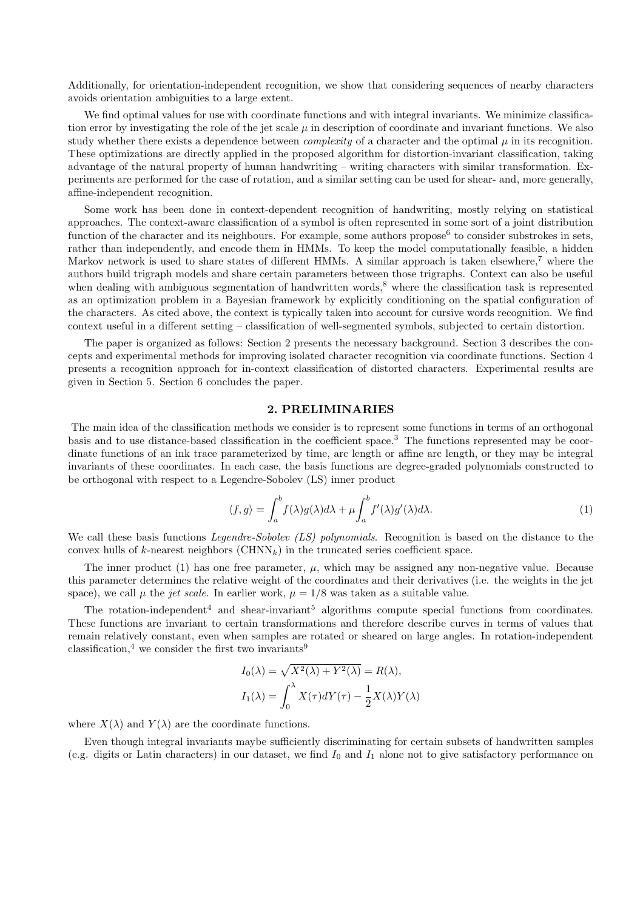Additionally, for orientation-independent recognition, we show that considering sequences of nearby characters avoids orientation ambiguities to a large extent.

We find optimal values for use with coordinate functions and with integral invariants. We minimize classification error by investigating the role of the jet scale  $\mu$  in description of coordinate and invariant functions. We also study whether there exists a dependence between *complexity* of a character and the optimal  $\mu$  in its recognition. These optimizations are directly applied in the proposed algorithm for distortion-invariant classification, taking advantage of the natural property of human handwriting – writing characters with similar transformation. Experiments are performed for the case of rotation, and a similar setting can be used for shear- and, more generally, affine-independent recognition.

Some work has been done in context-dependent recognition of handwriting, mostly relying on statistical approaches. The context-aware classification of a symbol is often represented in some sort of a joint distribution function of the character and its neighbours. For example, some authors propose<sup>6</sup> to consider substrokes in sets, rather than independently, and encode them in HMMs. To keep the model computationally feasible, a hidden Markov network is used to share states of different HMMs. A similar approach is taken elsewhere,<sup>7</sup> where the authors build trigraph models and share certain parameters between those trigraphs. Context can also be useful when dealing with ambiguous segmentation of handwritten words,<sup>8</sup> where the classification task is represented as an optimization problem in a Bayesian framework by explicitly conditioning on the spatial configuration of the characters. As cited above, the context is typically taken into account for cursive words recognition. We find context useful in a different setting – classification of well-segmented symbols, subjected to certain distortion.

The paper is organized as follows: Section 2 presents the necessary background. Section 3 describes the concepts and experimental methods for improving isolated character recognition via coordinate functions. Section 4 presents a recognition approach for in-context classification of distorted characters. Experimental results are given in Section 5. Section 6 concludes the paper.

### 2. PRELIMINARIES

The main idea of the classification methods we consider is to represent some functions in terms of an orthogonal basis and to use distance-based classification in the coefficient space.<sup>3</sup> The functions represented may be coordinate functions of an ink trace parameterized by time, arc length or affine arc length, or they may be integral invariants of these coordinates. In each case, the basis functions are degree-graded polynomials constructed to be orthogonal with respect to a Legendre-Sobolev (LS) inner product

$$
\langle f, g \rangle = \int_{a}^{b} f(\lambda)g(\lambda)d\lambda + \mu \int_{a}^{b} f'(\lambda)g'(\lambda)d\lambda.
$$
 (1)

We call these basis functions Legendre-Sobolev (LS) polynomials. Recognition is based on the distance to the convex hulls of k-nearest neighbors  $(\text{CHNN}_k)$  in the truncated series coefficient space.

The inner product (1) has one free parameter,  $\mu$ , which may be assigned any non-negative value. Because this parameter determines the relative weight of the coordinates and their derivatives (i.e. the weights in the jet space), we call  $\mu$  the *jet scale*. In earlier work,  $\mu = 1/8$  was taken as a suitable value.

The rotation-independent<sup>4</sup> and shear-invariant<sup>5</sup> algorithms compute special functions from coordinates. These functions are invariant to certain transformations and therefore describe curves in terms of values that remain relatively constant, even when samples are rotated or sheared on large angles. In rotation-independent classification,<sup>4</sup> we consider the first two invariants<sup>9</sup>

$$
I_0(\lambda) = \sqrt{X^2(\lambda) + Y^2(\lambda)} = R(\lambda),
$$
  
\n
$$
I_1(\lambda) = \int_0^{\lambda} X(\tau) dY(\tau) - \frac{1}{2} X(\lambda) Y(\lambda)
$$

where  $X(\lambda)$  and  $Y(\lambda)$  are the coordinate functions.

Even though integral invariants maybe sufficiently discriminating for certain subsets of handwritten samples (e.g. digits or Latin characters) in our dataset, we find  $I_0$  and  $I_1$  alone not to give satisfactory performance on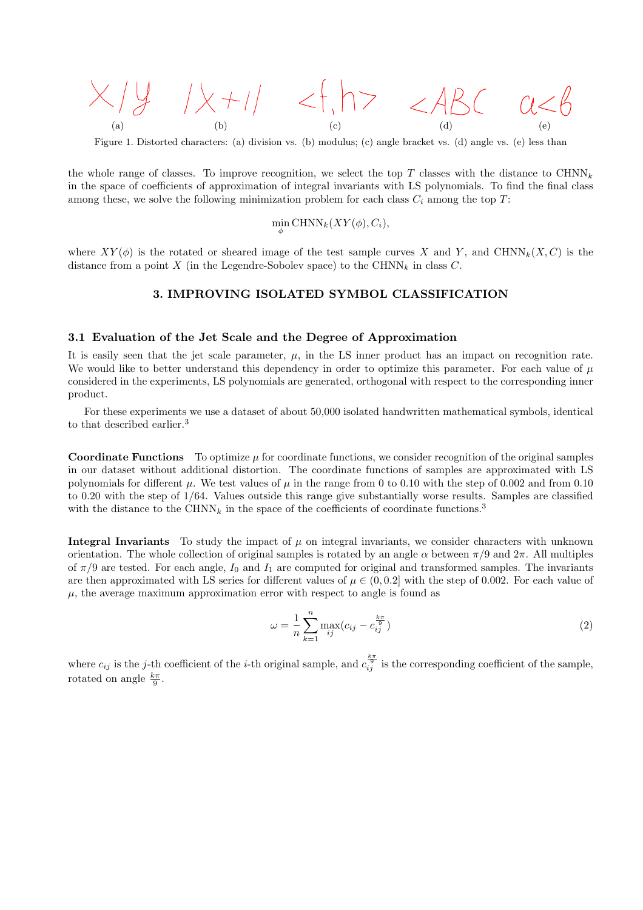

Figure 1. Distorted characters: (a) division vs. (b) modulus; (c) angle bracket vs. (d) angle vs. (e) less than

the whole range of classes. To improve recognition, we select the top T classes with the distance to  $\text{CHNN}_k$ in the space of coefficients of approximation of integral invariants with LS polynomials. To find the final class among these, we solve the following minimization problem for each class  $C_i$  among the top T:

$$
\min_{\phi} \text{CHNN}_k(XY(\phi), C_i),
$$

where  $XY(\phi)$  is the rotated or sheared image of the test sample curves X and Y, and CHNN<sub>k</sub> $(X, C)$  is the distance from a point X (in the Legendre-Sobolev space) to the CHNN<sub>k</sub> in class C.

## 3. IMPROVING ISOLATED SYMBOL CLASSIFICATION

### 3.1 Evaluation of the Jet Scale and the Degree of Approximation

It is easily seen that the jet scale parameter,  $\mu$ , in the LS inner product has an impact on recognition rate. We would like to better understand this dependency in order to optimize this parameter. For each value of  $\mu$ considered in the experiments, LS polynomials are generated, orthogonal with respect to the corresponding inner product.

For these experiments we use a dataset of about 50,000 isolated handwritten mathematical symbols, identical to that described earlier.<sup>3</sup>

**Coordinate Functions** To optimize  $\mu$  for coordinate functions, we consider recognition of the original samples in our dataset without additional distortion. The coordinate functions of samples are approximated with LS polynomials for different  $\mu$ . We test values of  $\mu$  in the range from 0 to 0.10 with the step of 0.002 and from 0.10 to 0.20 with the step of 1/64. Values outside this range give substantially worse results. Samples are classified with the distance to the CHNN<sub>k</sub> in the space of the coefficients of coordinate functions.<sup>3</sup>

Integral Invariants To study the impact of  $\mu$  on integral invariants, we consider characters with unknown orientation. The whole collection of original samples is rotated by an angle  $\alpha$  between  $\pi/9$  and  $2\pi$ . All multiples of  $\pi/9$  are tested. For each angle,  $I_0$  and  $I_1$  are computed for original and transformed samples. The invariants are then approximated with LS series for different values of  $\mu \in (0, 0.2]$  with the step of 0.002. For each value of  $\mu$ , the average maximum approximation error with respect to angle is found as

$$
\omega = \frac{1}{n} \sum_{k=1}^{n} \max_{ij} (c_{ij} - c_{ij}^{\frac{k\pi}{9}})
$$
\n(2)

where  $c_{ij}$  is the j-th coefficient of the *i*-th original sample, and  $c_{ij}^{\frac{k\pi}{9}}$  is the corresponding coefficient of the sample, rotated on angle  $\frac{k\pi}{9}$ .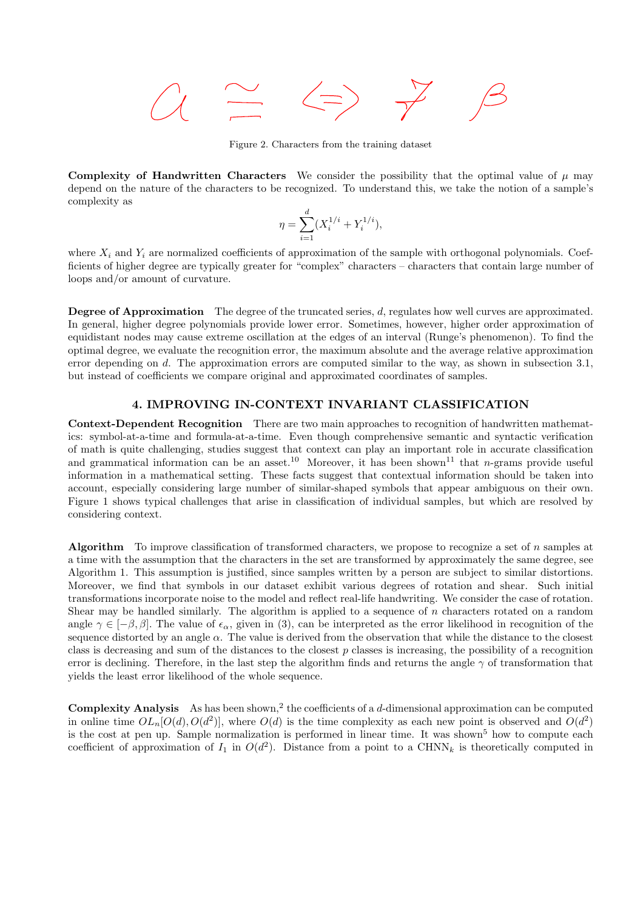

Figure 2. Characters from the training dataset

Complexity of Handwritten Characters We consider the possibility that the optimal value of  $\mu$  may depend on the nature of the characters to be recognized. To understand this, we take the notion of a sample's complexity as

$$
\eta = \sum_{i=1}^{d} (X_i^{1/i} + Y_i^{1/i}),
$$

where  $X_i$  and  $Y_i$  are normalized coefficients of approximation of the sample with orthogonal polynomials. Coefficients of higher degree are typically greater for "complex" characters – characters that contain large number of loops and/or amount of curvature.

Degree of Approximation The degree of the truncated series, d, regulates how well curves are approximated. In general, higher degree polynomials provide lower error. Sometimes, however, higher order approximation of equidistant nodes may cause extreme oscillation at the edges of an interval (Runge's phenomenon). To find the optimal degree, we evaluate the recognition error, the maximum absolute and the average relative approximation error depending on d. The approximation errors are computed similar to the way, as shown in subsection 3.1, but instead of coefficients we compare original and approximated coordinates of samples.

## 4. IMPROVING IN-CONTEXT INVARIANT CLASSIFICATION

Context-Dependent Recognition There are two main approaches to recognition of handwritten mathematics: symbol-at-a-time and formula-at-a-time. Even though comprehensive semantic and syntactic verification of math is quite challenging, studies suggest that context can play an important role in accurate classification and grammatical information can be an asset.<sup>10</sup> Moreover, it has been shown<sup>11</sup> that *n*-grams provide useful information in a mathematical setting. These facts suggest that contextual information should be taken into account, especially considering large number of similar-shaped symbols that appear ambiguous on their own. Figure 1 shows typical challenges that arise in classification of individual samples, but which are resolved by considering context.

Algorithm To improve classification of transformed characters, we propose to recognize a set of n samples at a time with the assumption that the characters in the set are transformed by approximately the same degree, see Algorithm 1. This assumption is justified, since samples written by a person are subject to similar distortions. Moreover, we find that symbols in our dataset exhibit various degrees of rotation and shear. Such initial transformations incorporate noise to the model and reflect real-life handwriting. We consider the case of rotation. Shear may be handled similarly. The algorithm is applied to a sequence of n characters rotated on a random angle  $\gamma \in [-\beta, \beta]$ . The value of  $\epsilon_{\alpha}$ , given in (3), can be interpreted as the error likelihood in recognition of the sequence distorted by an angle  $\alpha$ . The value is derived from the observation that while the distance to the closest class is decreasing and sum of the distances to the closest p classes is increasing, the possibility of a recognition error is declining. Therefore, in the last step the algorithm finds and returns the angle  $\gamma$  of transformation that yields the least error likelihood of the whole sequence.

**Complexity Analysis** As has been shown,<sup>2</sup> the coefficients of a d-dimensional approximation can be computed in online time  $OL_n[O(d), O(d^2)]$ , where  $O(d)$  is the time complexity as each new point is observed and  $O(d^2)$ is the cost at pen up. Sample normalization is performed in linear time. It was shown<sup>5</sup> how to compute each coefficient of approximation of  $I_1$  in  $O(d^2)$ . Distance from a point to a CHNN<sub>k</sub> is theoretically computed in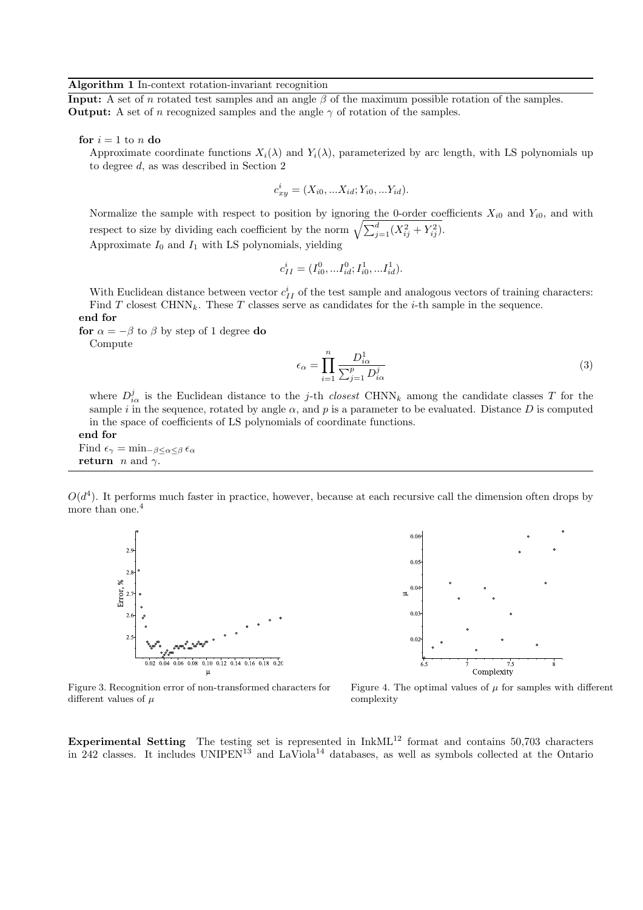#### Algorithm 1 In-context rotation-invariant recognition

**Input:** A set of n rotated test samples and an angle  $\beta$  of the maximum possible rotation of the samples. **Output:** A set of n recognized samples and the angle  $\gamma$  of rotation of the samples.

for  $i = 1$  to n do

Approximate coordinate functions  $X_i(\lambda)$  and  $Y_i(\lambda)$ , parameterized by arc length, with LS polynomials up to degree d, as was described in Section 2

$$
c_{xy}^i = (X_{i0},...X_{id}; Y_{i0},...Y_{id}).
$$

Normalize the sample with respect to position by ignoring the 0-order coefficients  $X_{i0}$  and  $Y_{i0}$ , and with respect to size by dividing each coefficient by the norm  $\sqrt{\sum_{j=1}^{d}(X_{ij}^2 + Y_{ij}^2)}$ . Approximate  $I_0$  and  $I_1$  with LS polynomials, yielding

$$
c_{II}^i = (I_{i0}^0, \dots I_{id}^0; I_{i0}^1, \dots I_{id}^1).
$$

With Euclidean distance between vector  $c_{II}^i$  of the test sample and analogous vectors of training characters: Find T closest CHNN<sub>k</sub>. These T classes serve as candidates for the *i*-th sample in the sequence. end for

for  $\alpha = -\beta$  to  $\beta$  by step of 1 degree do

Compute

$$
\epsilon_{\alpha} = \prod_{i=1}^{n} \frac{D_{i\alpha}^{1}}{\sum_{j=1}^{p} D_{i\alpha}^{j}}
$$
\n(3)

where  $D_{i\alpha}^{j}$  is the Euclidean distance to the j-th closest CHNN<sub>k</sub> among the candidate classes T for the sample i in the sequence, rotated by angle  $\alpha$ , and p is a parameter to be evaluated. Distance D is computed in the space of coefficients of LS polynomials of coordinate functions.

end for Find  $\epsilon_{\gamma} = \min_{-\beta \leq \alpha \leq \beta} \epsilon_{\alpha}$ return *n* and  $\gamma$ .

 $O(d^4)$ . It performs much faster in practice, however, because at each recursive call the dimension often drops by more than one.<sup>4</sup>





Figure 3. Recognition error of non-transformed characters for different values of  $\mu$ 



Experimental Setting The testing set is represented in  $InkML<sup>12</sup>$  format and contains 50,703 characters in 242 classes. It includes  $UNIPEN^{13}$  and  $LaViola^{14}$  databases, as well as symbols collected at the Ontario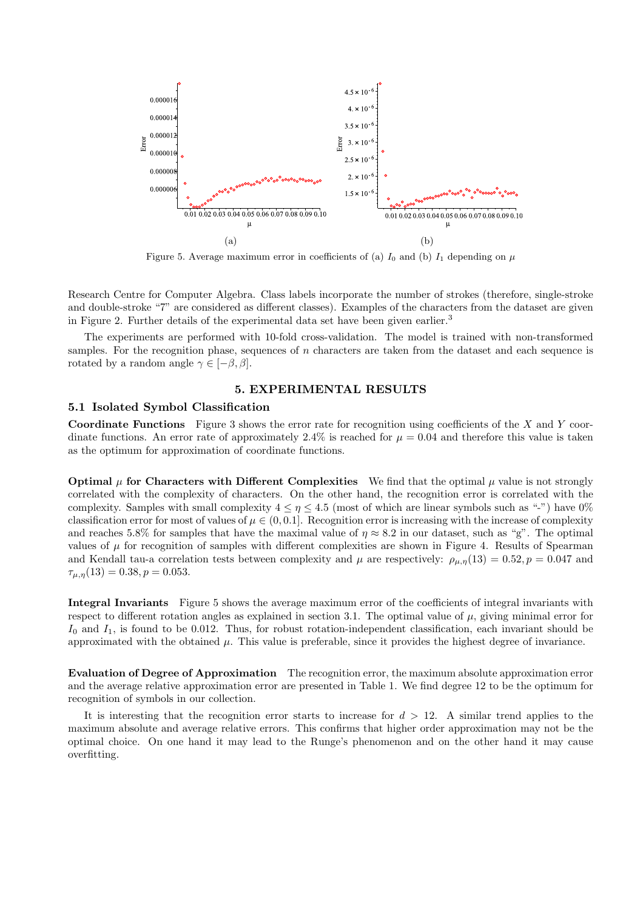

Figure 5. Average maximum error in coefficients of (a)  $I_0$  and (b)  $I_1$  depending on  $\mu$ 

Research Centre for Computer Algebra. Class labels incorporate the number of strokes (therefore, single-stroke and double-stroke "7" are considered as different classes). Examples of the characters from the dataset are given in Figure 2. Further details of the experimental data set have been given earlier.<sup>3</sup>

The experiments are performed with 10-fold cross-validation. The model is trained with non-transformed samples. For the recognition phase, sequences of  $n$  characters are taken from the dataset and each sequence is rotated by a random angle  $\gamma \in [-\beta, \beta]$ .

## 5. EXPERIMENTAL RESULTS

## 5.1 Isolated Symbol Classification

**Coordinate Functions** Figure 3 shows the error rate for recognition using coefficients of the  $X$  and  $Y$  coordinate functions. An error rate of approximately 2.4% is reached for  $\mu = 0.04$  and therefore this value is taken as the optimum for approximation of coordinate functions.

Optimal  $\mu$  for Characters with Different Complexities We find that the optimal  $\mu$  value is not strongly correlated with the complexity of characters. On the other hand, the recognition error is correlated with the complexity. Samples with small complexity  $4 \leq \eta \leq 4.5$  (most of which are linear symbols such as "-") have  $0\%$ classification error for most of values of  $\mu \in (0, 0.1]$ . Recognition error is increasing with the increase of complexity and reaches 5.8% for samples that have the maximal value of  $\eta \approx 8.2$  in our dataset, such as "g". The optimal values of  $\mu$  for recognition of samples with different complexities are shown in Figure 4. Results of Spearman and Kendall tau-a correlation tests between complexity and  $\mu$  are respectively:  $\rho_{\mu,\eta}(13) = 0.52, p = 0.047$  and  $\tau_{\mu,\eta}(13) = 0.38, p = 0.053.$ 

Integral Invariants Figure 5 shows the average maximum error of the coefficients of integral invariants with respect to different rotation angles as explained in section 3.1. The optimal value of  $\mu$ , giving minimal error for  $I_0$  and  $I_1$ , is found to be 0.012. Thus, for robust rotation-independent classification, each invariant should be approximated with the obtained  $\mu$ . This value is preferable, since it provides the highest degree of invariance.

Evaluation of Degree of Approximation The recognition error, the maximum absolute approximation error and the average relative approximation error are presented in Table 1. We find degree 12 to be the optimum for recognition of symbols in our collection.

It is interesting that the recognition error starts to increase for  $d > 12$ . A similar trend applies to the maximum absolute and average relative errors. This confirms that higher order approximation may not be the optimal choice. On one hand it may lead to the Runge's phenomenon and on the other hand it may cause overfitting.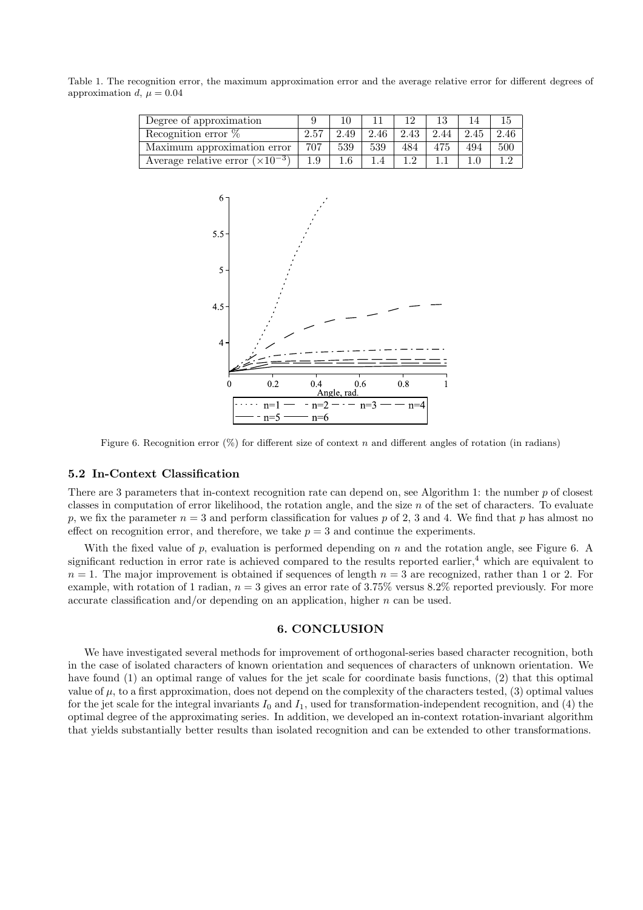Table 1. The recognition error, the maximum approximation error and the average relative error for different degrees of approximation d,  $\mu = 0.04$ 

| Degree of approximation                   |     |      |      |      |      |      |      |
|-------------------------------------------|-----|------|------|------|------|------|------|
| Recognition error $\%$                    |     | 2.49 | 2.46 | 2.43 | 2.44 | 2.45 | 2.46 |
| Maximum approximation error               | 707 | 539  | 539  | 484  | 475  | 494  | 500  |
| Average relative error $(\times 10^{-3})$ |     |      |      |      |      |      |      |



Figure 6. Recognition error  $(\%)$  for different size of context n and different angles of rotation (in radians)

#### 5.2 In-Context Classification

There are 3 parameters that in-context recognition rate can depend on, see Algorithm 1: the number p of closest classes in computation of error likelihood, the rotation angle, and the size  $n$  of the set of characters. To evaluate p, we fix the parameter  $n = 3$  and perform classification for values p of 2, 3 and 4. We find that p has almost no effect on recognition error, and therefore, we take  $p = 3$  and continue the experiments.

With the fixed value of p, evaluation is performed depending on  $n$  and the rotation angle, see Figure 6. A significant reduction in error rate is achieved compared to the results reported earlier, $4$  which are equivalent to  $n = 1$ . The major improvement is obtained if sequences of length  $n = 3$  are recognized, rather than 1 or 2. For example, with rotation of 1 radian,  $n = 3$  gives an error rate of 3.75% versus 8.2% reported previously. For more accurate classification and/or depending on an application, higher  $n$  can be used.

## 6. CONCLUSION

We have investigated several methods for improvement of orthogonal-series based character recognition, both in the case of isolated characters of known orientation and sequences of characters of unknown orientation. We have found (1) an optimal range of values for the jet scale for coordinate basis functions, (2) that this optimal value of  $\mu$ , to a first approximation, does not depend on the complexity of the characters tested, (3) optimal values for the jet scale for the integral invariants  $I_0$  and  $I_1$ , used for transformation-independent recognition, and (4) the optimal degree of the approximating series. In addition, we developed an in-context rotation-invariant algorithm that yields substantially better results than isolated recognition and can be extended to other transformations.